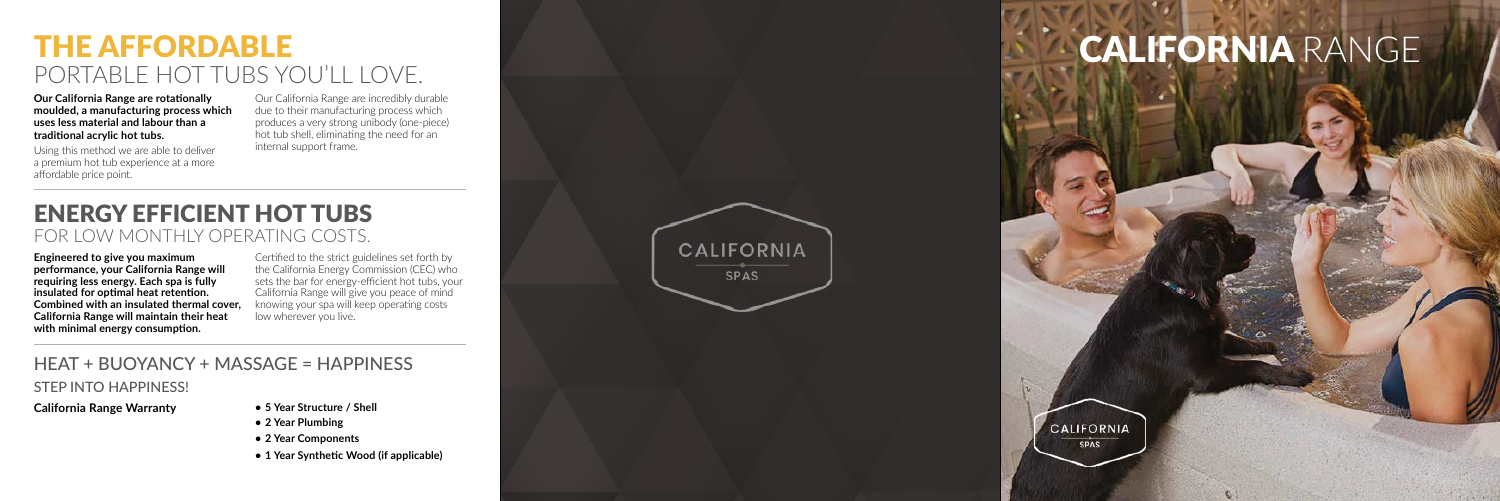# THE AFFORDABLE PORTABLE HOT TUBS YOU'LL LOVE.

# CALIFORNIA RANGE



## HEAT + BUOYANCY + MASSAGE = HAPPINESS

STEP INTO HAPPINESS!

## ENERGY EFFICIENT HOT TUBS FOR LOW MONTHLY OPERATING COSTS.

**Our California Range are rotationally moulded, a manufacturing process which uses less material and labour than a traditional acrylic hot tubs.** 

Using this method we are able to deliver a premium hot tub experience at a more affordable price point.

Our California Range are incredibly durable due to their manufacturing process which produces a very strong unibody (one-piece) hot tub shell, eliminating the need for an internal support frame.

### **California Range Warranty**

- **• 5 Year Structure / Shell**
- **• 2 Year Plumbing**
- **• 2 Year Components**
- **• 1 Year Synthetic Wood (if applicable)**

**Engineered to give you maximum performance, your California Range will requiring less energy. Each spa is fully insulated for optimal heat retention. Combined with an insulated thermal cover, California Range will maintain their heat with minimal energy consumption.**

Certified to the strict guidelines set forth by the California Energy Commission (CEC) who sets the bar for energy-efficient hot tubs, your California Range will give you peace of mind knowing your spa will keep operating costs low wherever you live.

**CALIFORNIA** 

**SPAS**